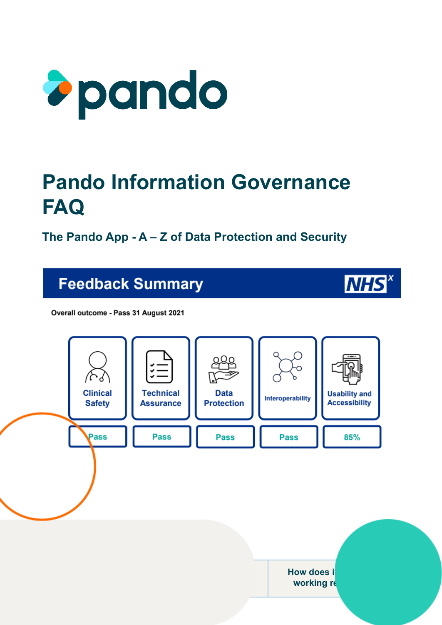

## **Pando Information Governance FAQ**

**The Pando App - A – Z of Data Protection and Security**

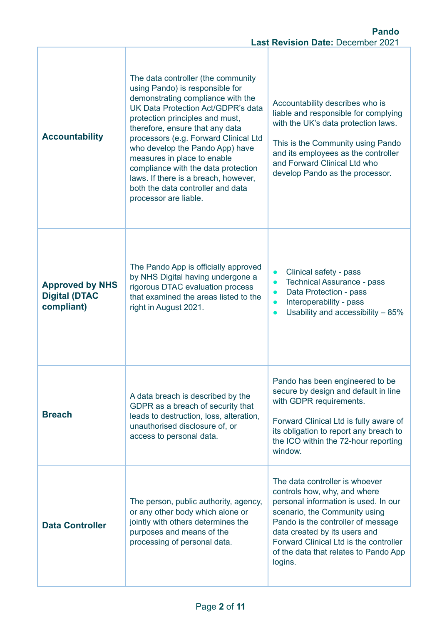| <b>Accountability</b>                                        | The data controller (the community<br>using Pando) is responsible for<br>demonstrating compliance with the<br>UK Data Protection Act/GDPR's data<br>protection principles and must,<br>therefore, ensure that any data<br>processors (e.g. Forward Clinical Ltd<br>who develop the Pando App) have<br>measures in place to enable<br>compliance with the data protection<br>laws. If there is a breach, however,<br>both the data controller and data<br>processor are liable. | Accountability describes who is<br>liable and responsible for complying<br>with the UK's data protection laws.<br>This is the Community using Pando<br>and its employees as the controller<br>and Forward Clinical Ltd who<br>develop Pando as the processor.                                                |  |  |
|--------------------------------------------------------------|--------------------------------------------------------------------------------------------------------------------------------------------------------------------------------------------------------------------------------------------------------------------------------------------------------------------------------------------------------------------------------------------------------------------------------------------------------------------------------|--------------------------------------------------------------------------------------------------------------------------------------------------------------------------------------------------------------------------------------------------------------------------------------------------------------|--|--|
| <b>Approved by NHS</b><br><b>Digital (DTAC</b><br>compliant) | The Pando App is officially approved<br>by NHS Digital having undergone a<br>rigorous DTAC evaluation process<br>that examined the areas listed to the<br>right in August 2021.                                                                                                                                                                                                                                                                                                | Clinical safety - pass<br>$\bullet$<br><b>Technical Assurance - pass</b><br>$\bullet$<br>Data Protection - pass<br>$\bullet$<br>Interoperability - pass<br>$\bullet$<br>Usability and accessibility - 85%                                                                                                    |  |  |
| <b>Breach</b>                                                | A data breach is described by the<br>GDPR as a breach of security that<br>leads to destruction, loss, alteration,<br>unauthorised disclosure of, or<br>access to personal data.                                                                                                                                                                                                                                                                                                | Pando has been engineered to be<br>secure by design and default in line<br>with GDPR requirements.<br>Forward Clinical Ltd is fully aware of<br>its obligation to report any breach to<br>the ICO within the 72-hour reporting<br>window.                                                                    |  |  |
| <b>Data Controller</b>                                       | The person, public authority, agency,<br>or any other body which alone or<br>jointly with others determines the<br>purposes and means of the<br>processing of personal data.                                                                                                                                                                                                                                                                                                   | The data controller is whoever<br>controls how, why, and where<br>personal information is used. In our<br>scenario, the Community using<br>Pando is the controller of message<br>data created by its users and<br>Forward Clinical Ltd is the controller<br>of the data that relates to Pando App<br>logins. |  |  |

ľ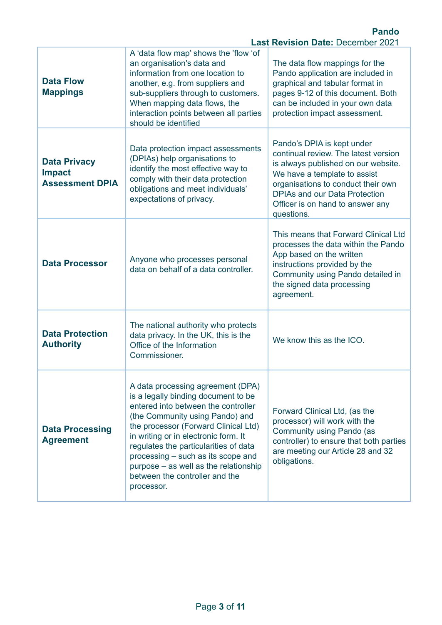|                                                                | <b>Pando</b><br><b>Last Revision Date: December 2021</b>                                                                                                                                                                                                                                                                                                                                                   |                                                                                                                                                                                                                                                                           |  |  |
|----------------------------------------------------------------|------------------------------------------------------------------------------------------------------------------------------------------------------------------------------------------------------------------------------------------------------------------------------------------------------------------------------------------------------------------------------------------------------------|---------------------------------------------------------------------------------------------------------------------------------------------------------------------------------------------------------------------------------------------------------------------------|--|--|
| <b>Data Flow</b><br><b>Mappings</b>                            | A 'data flow map' shows the 'flow 'of<br>an organisation's data and<br>information from one location to<br>another, e.g. from suppliers and<br>sub-suppliers through to customers.<br>When mapping data flows, the<br>interaction points between all parties<br>should be identified                                                                                                                       | The data flow mappings for the<br>Pando application are included in<br>graphical and tabular format in<br>pages 9-12 of this document. Both<br>can be included in your own data<br>protection impact assessment.                                                          |  |  |
| <b>Data Privacy</b><br><b>Impact</b><br><b>Assessment DPIA</b> | Data protection impact assessments<br>(DPIAs) help organisations to<br>identify the most effective way to<br>comply with their data protection<br>obligations and meet individuals'<br>expectations of privacy.                                                                                                                                                                                            | Pando's DPIA is kept under<br>continual review. The latest version<br>is always published on our website.<br>We have a template to assist<br>organisations to conduct their own<br><b>DPIAs and our Data Protection</b><br>Officer is on hand to answer any<br>questions. |  |  |
| <b>Data Processor</b>                                          | Anyone who processes personal<br>data on behalf of a data controller.                                                                                                                                                                                                                                                                                                                                      | This means that Forward Clinical Ltd<br>processes the data within the Pando<br>App based on the written<br>instructions provided by the<br>Community using Pando detailed in<br>the signed data processing<br>agreement.                                                  |  |  |
| <b>Data Protection</b><br><b>Authority</b>                     | The national authority who protects<br>data privacy. In the UK, this is the<br>Office of the Information<br>Commissioner.                                                                                                                                                                                                                                                                                  | We know this as the ICO.                                                                                                                                                                                                                                                  |  |  |
| <b>Data Processing</b><br><b>Agreement</b>                     | A data processing agreement (DPA)<br>is a legally binding document to be<br>entered into between the controller<br>(the Community using Pando) and<br>the processor (Forward Clinical Ltd)<br>in writing or in electronic form. It<br>regulates the particularities of data<br>processing – such as its scope and<br>purpose – as well as the relationship<br>between the controller and the<br>processor. | Forward Clinical Ltd, (as the<br>processor) will work with the<br>Community using Pando (as<br>controller) to ensure that both parties<br>are meeting our Article 28 and 32<br>obligations.                                                                               |  |  |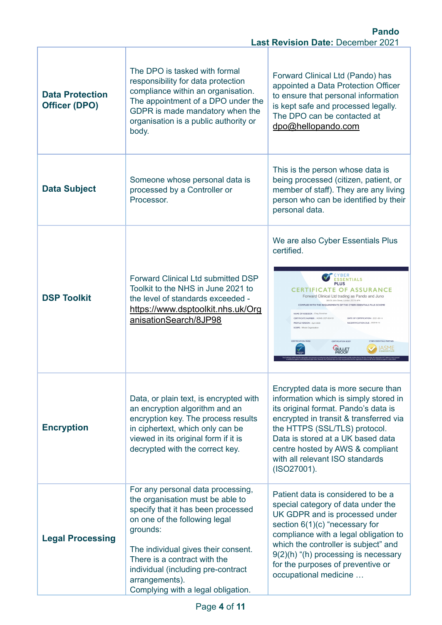| <b>Data Protection</b><br><b>Officer (DPO)</b> | The DPO is tasked with formal<br>responsibility for data protection<br>compliance within an organisation.<br>The appointment of a DPO under the<br>GDPR is made mandatory when the<br>organisation is a public authority or<br>body.                                                                                          | Forward Clinical Ltd (Pando) has<br>appointed a Data Protection Officer<br>to ensure that personal information<br>is kept safe and processed legally.<br>The DPO can be contacted at<br>dpo@hellopando.com                                                                                                                                                                                                                                                                                                                                                                                                        |  |  |
|------------------------------------------------|-------------------------------------------------------------------------------------------------------------------------------------------------------------------------------------------------------------------------------------------------------------------------------------------------------------------------------|-------------------------------------------------------------------------------------------------------------------------------------------------------------------------------------------------------------------------------------------------------------------------------------------------------------------------------------------------------------------------------------------------------------------------------------------------------------------------------------------------------------------------------------------------------------------------------------------------------------------|--|--|
| <b>Data Subject</b>                            | Someone whose personal data is<br>processed by a Controller or<br>Processor.                                                                                                                                                                                                                                                  | This is the person whose data is<br>being processed (citizen, patient, or<br>member of staff). They are any living<br>person who can be identified by their<br>personal data.                                                                                                                                                                                                                                                                                                                                                                                                                                     |  |  |
| <b>DSP Toolkit</b>                             | <b>Forward Clinical Ltd submitted DSP</b><br>Toolkit to the NHS in June 2021 to<br>the level of standards exceeded -<br>https://www.dsptoolkit.nhs.uk/Org<br>anisationSearch/8JP98                                                                                                                                            | We are also Cyber Essentials Plus<br>certified.<br>/BER<br><b>ESSENTIALS</b><br><b>PLUS</b><br><b>CERTIFICATE OF ASSURANCE</b><br>Forward Clinical Ltd trading as Pando and Juno<br>300 St John Street, London, EC1V 4PA<br>COMPLIES WITH THE REQUIREMENTS OF THE CYBER ESSENTIALS PLUS SCHEME<br>NAME OF ASSESSOR: Chay Donoho<br>CERTIFICATE NUMBER : IASME-CEP-004151<br>DATE OF CERTIFICATION : 2021-06-14<br>RECERTIFICATION DUE: 2022-6-14<br>PROFILE VERSION : April 2020<br><b>SCOPE: Whole Organisation</b><br><b>CERTIFICATION MARK</b><br>CYBER ESSENTIALS PARTNER<br><b>ERTIFICATION ROON</b><br>asme |  |  |
| <b>Encryption</b>                              | Data, or plain text, is encrypted with<br>an encryption algorithm and an<br>encryption key. The process results<br>in ciphertext, which only can be<br>viewed in its original form if it is<br>decrypted with the correct key.                                                                                                | Encrypted data is more secure than<br>information which is simply stored in<br>its original format. Pando's data is<br>encrypted in transit & transferred via<br>the HTTPS (SSL/TLS) protocol.<br>Data is stored at a UK based data<br>centre hosted by AWS & compliant<br>with all relevant ISO standards<br>(ISO27001).                                                                                                                                                                                                                                                                                         |  |  |
| <b>Legal Processing</b>                        | For any personal data processing,<br>the organisation must be able to<br>specify that it has been processed<br>on one of the following legal<br>grounds:<br>The individual gives their consent.<br>There is a contract with the<br>individual (including pre-contract<br>arrangements).<br>Complying with a legal obligation. | Patient data is considered to be a<br>special category of data under the<br>UK GDPR and is processed under<br>section $6(1)(c)$ "necessary for<br>compliance with a legal obligation to<br>which the controller is subject" and<br>$9(2)(h)$ "(h) processing is necessary<br>for the purposes of preventive or<br>occupational medicine                                                                                                                                                                                                                                                                           |  |  |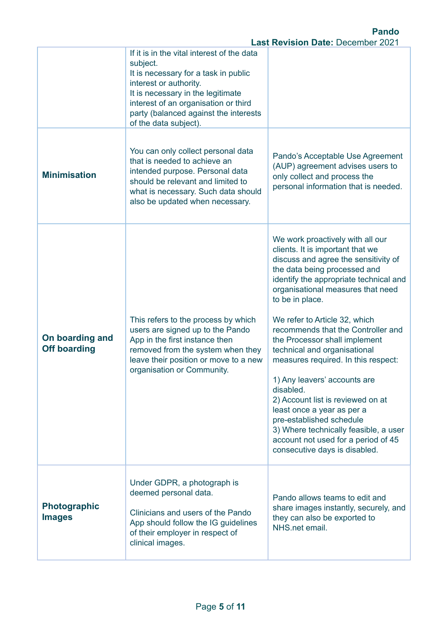|                                        | If it is in the vital interest of the data<br>subject.<br>It is necessary for a task in public<br>interest or authority.<br>It is necessary in the legitimate<br>interest of an organisation or third<br>party (balanced against the interests<br>of the data subject). |                                                                                                                                                                                                                                                                                                                                                                                                                                                                                                                                                                                                                                                                                            |  |  |
|----------------------------------------|-------------------------------------------------------------------------------------------------------------------------------------------------------------------------------------------------------------------------------------------------------------------------|--------------------------------------------------------------------------------------------------------------------------------------------------------------------------------------------------------------------------------------------------------------------------------------------------------------------------------------------------------------------------------------------------------------------------------------------------------------------------------------------------------------------------------------------------------------------------------------------------------------------------------------------------------------------------------------------|--|--|
| <b>Minimisation</b>                    | You can only collect personal data<br>that is needed to achieve an<br>intended purpose. Personal data<br>should be relevant and limited to<br>what is necessary. Such data should<br>also be updated when necessary.                                                    | Pando's Acceptable Use Agreement<br>(AUP) agreement advises users to<br>only collect and process the<br>personal information that is needed.                                                                                                                                                                                                                                                                                                                                                                                                                                                                                                                                               |  |  |
| On boarding and<br><b>Off boarding</b> | This refers to the process by which<br>users are signed up to the Pando<br>App in the first instance then<br>removed from the system when they<br>leave their position or move to a new<br>organisation or Community.                                                   | We work proactively with all our<br>clients. It is important that we<br>discuss and agree the sensitivity of<br>the data being processed and<br>identify the appropriate technical and<br>organisational measures that need<br>to be in place.<br>We refer to Article 32, which<br>recommends that the Controller and<br>the Processor shall implement<br>technical and organisational<br>measures required. In this respect:<br>1) Any leavers' accounts are<br>disabled.<br>2) Account list is reviewed on at<br>least once a year as per a<br>pre-established schedule<br>3) Where technically feasible, a user<br>account not used for a period of 45<br>consecutive days is disabled. |  |  |
| <b>Photographic</b><br><b>Images</b>   | Under GDPR, a photograph is<br>deemed personal data.<br>Clinicians and users of the Pando<br>App should follow the IG guidelines<br>of their employer in respect of<br>clinical images.                                                                                 | Pando allows teams to edit and<br>share images instantly, securely, and<br>they can also be exported to<br>NHS.net email.                                                                                                                                                                                                                                                                                                                                                                                                                                                                                                                                                                  |  |  |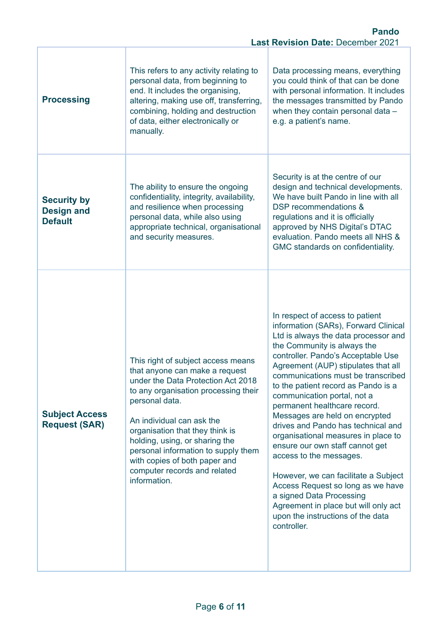|                                                                                                                                                                                                                                                                         | <b>Pando</b><br><b>Last Revision Date: December 2021</b>                                                                                                                                                                                                                                                                                                                                       |                                                                                                                                                                                                                                                                                                                                                                                                                                                                                                                                                                                                                                                                                                                                                           |  |  |
|-------------------------------------------------------------------------------------------------------------------------------------------------------------------------------------------------------------------------------------------------------------------------|------------------------------------------------------------------------------------------------------------------------------------------------------------------------------------------------------------------------------------------------------------------------------------------------------------------------------------------------------------------------------------------------|-----------------------------------------------------------------------------------------------------------------------------------------------------------------------------------------------------------------------------------------------------------------------------------------------------------------------------------------------------------------------------------------------------------------------------------------------------------------------------------------------------------------------------------------------------------------------------------------------------------------------------------------------------------------------------------------------------------------------------------------------------------|--|--|
| This refers to any activity relating to<br>personal data, from beginning to<br>end. It includes the organising,<br><b>Processing</b><br>altering, making use off, transferring,<br>combining, holding and destruction<br>of data, either electronically or<br>manually. |                                                                                                                                                                                                                                                                                                                                                                                                | Data processing means, everything<br>you could think of that can be done<br>with personal information. It includes<br>the messages transmitted by Pando<br>when they contain personal data -<br>e.g. a patient's name.                                                                                                                                                                                                                                                                                                                                                                                                                                                                                                                                    |  |  |
| <b>Security by</b><br><b>Design and</b><br><b>Default</b>                                                                                                                                                                                                               | The ability to ensure the ongoing<br>confidentiality, integrity, availability,<br>and resilience when processing<br>personal data, while also using<br>appropriate technical, organisational<br>and security measures.                                                                                                                                                                         | Security is at the centre of our<br>design and technical developments.<br>We have built Pando in line with all<br>DSP recommendations &<br>regulations and it is officially<br>approved by NHS Digital's DTAC<br>evaluation. Pando meets all NHS &<br>GMC standards on confidentiality.                                                                                                                                                                                                                                                                                                                                                                                                                                                                   |  |  |
| <b>Subject Access</b><br><b>Request (SAR)</b>                                                                                                                                                                                                                           | This right of subject access means<br>that anyone can make a request<br>under the Data Protection Act 2018<br>to any organisation processing their<br>personal data.<br>An individual can ask the<br>organisation that they think is<br>holding, using, or sharing the<br>personal information to supply them<br>with copies of both paper and<br>computer records and related<br>information. | In respect of access to patient<br>information (SARs), Forward Clinical<br>Ltd is always the data processor and<br>the Community is always the<br>controller. Pando's Acceptable Use<br>Agreement (AUP) stipulates that all<br>communications must be transcribed<br>to the patient record as Pando is a<br>communication portal, not a<br>permanent healthcare record.<br>Messages are held on encrypted<br>drives and Pando has technical and<br>organisational measures in place to<br>ensure our own staff cannot get<br>access to the messages.<br>However, we can facilitate a Subject<br>Access Request so long as we have<br>a signed Data Processing<br>Agreement in place but will only act<br>upon the instructions of the data<br>controller. |  |  |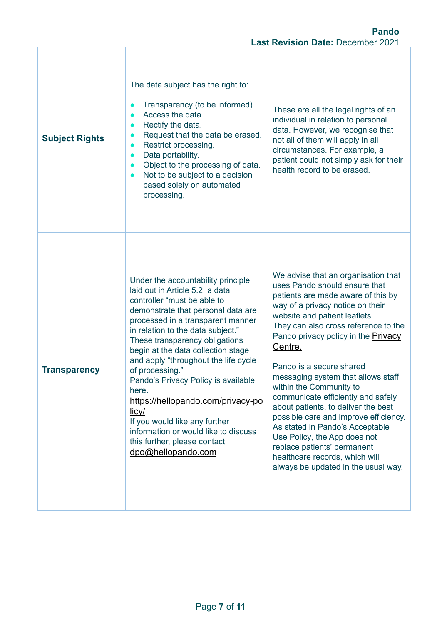| <b>Subject Rights</b> | The data subject has the right to:<br>Transparency (to be informed).<br>Access the data.<br>$\bullet$<br>Rectify the data.<br>Request that the data be erased.<br>Restrict processing.<br>Data portability.<br>$\bullet$<br>Object to the processing of data.<br>Not to be subject to a decision<br>based solely on automated<br>processing.                                                                                                                                                                                                                                                | These are all the legal rights of an<br>individual in relation to personal<br>data. However, we recognise that<br>not all of them will apply in all<br>circumstances. For example, a<br>patient could not simply ask for their<br>health record to be erased.                                                                                                                                                                                                                                                                                                                                                                                                                  |  |
|-----------------------|---------------------------------------------------------------------------------------------------------------------------------------------------------------------------------------------------------------------------------------------------------------------------------------------------------------------------------------------------------------------------------------------------------------------------------------------------------------------------------------------------------------------------------------------------------------------------------------------|--------------------------------------------------------------------------------------------------------------------------------------------------------------------------------------------------------------------------------------------------------------------------------------------------------------------------------------------------------------------------------------------------------------------------------------------------------------------------------------------------------------------------------------------------------------------------------------------------------------------------------------------------------------------------------|--|
| <b>Transparency</b>   | Under the accountability principle<br>laid out in Article 5.2, a data<br>controller "must be able to<br>demonstrate that personal data are<br>processed in a transparent manner<br>in relation to the data subject."<br>These transparency obligations<br>begin at the data collection stage<br>and apply "throughout the life cycle<br>of processing."<br>Pando's Privacy Policy is available<br>here.<br>https://hellopando.com/privacy-po<br><u>licy/</u><br>If you would like any further<br>information or would like to discuss<br>this further, please contact<br>dpo@hellopando.com | We advise that an organisation that<br>uses Pando should ensure that<br>patients are made aware of this by<br>way of a privacy notice on their<br>website and patient leaflets.<br>They can also cross reference to the<br>Pando privacy policy in the <b>Privacy</b><br>Centre.<br>Pando is a secure shared<br>messaging system that allows staff<br>within the Community to<br>communicate efficiently and safely<br>about patients, to deliver the best<br>possible care and improve efficiency.<br>As stated in Pando's Acceptable<br>Use Policy, the App does not<br>replace patients' permanent<br>healthcare records, which will<br>always be updated in the usual way. |  |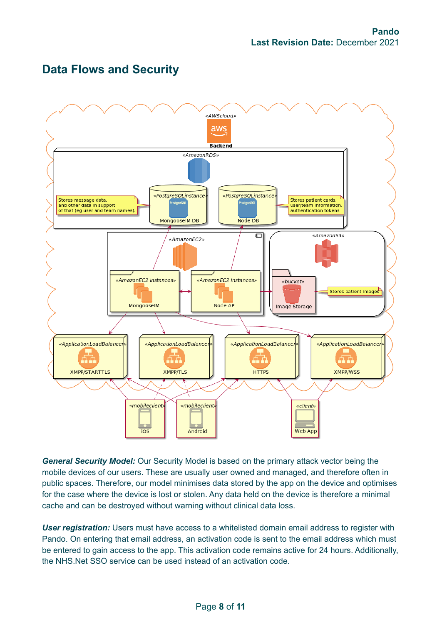

## **Data Flows and Security**

*General Security Model:* Our Security Model is based on the primary attack vector being the mobile devices of our users. These are usually user owned and managed, and therefore often in public spaces. Therefore, our model minimises data stored by the app on the device and optimises for the case where the device is lost or stolen. Any data held on the device is therefore a minimal cache and can be destroyed without warning without clinical data loss.

*User registration:* Users must have access to a whitelisted domain email address to register with Pando. On entering that email address, an activation code is sent to the email address which must be entered to gain access to the app. This activation code remains active for 24 hours. Additionally, the NHS.Net SSO service can be used instead of an activation code.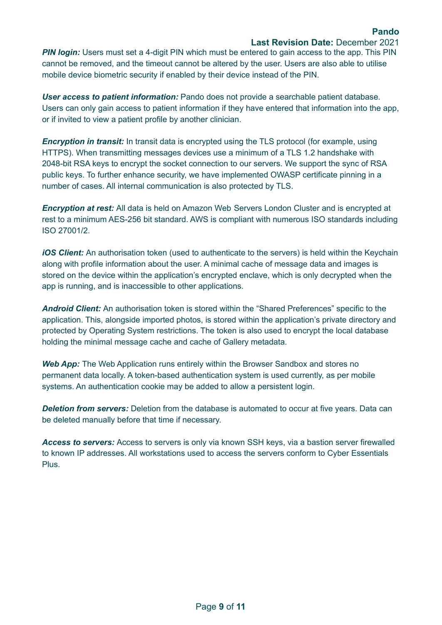## **Last Revision Date:** December 2021

**PIN login:** Users must set a 4-digit PIN which must be entered to gain access to the app. This PIN cannot be removed, and the timeout cannot be altered by the user. Users are also able to utilise mobile device biometric security if enabled by their device instead of the PIN.

*User access to patient information:* Pando does not provide a searchable patient database. Users can only gain access to patient information if they have entered that information into the app, or if invited to view a patient profile by another clinician.

**Encryption in transit:** In transit data is encrypted using the TLS protocol (for example, using HTTPS). When transmitting messages devices use a minimum of a TLS 1.2 handshake with 2048-bit RSA keys to encrypt the socket connection to our servers. We support the sync of RSA public keys. To further enhance security, we have implemented OWASP certificate pinning in a number of cases. All internal communication is also protected by TLS.

*Encryption at rest:* All data is held on Amazon Web Servers London Cluster and is encrypted at rest to a minimum AES-256 bit standard. AWS is compliant with numerous ISO standards including ISO 27001/2.

*iOS Client:* An authorisation token (used to authenticate to the servers) is held within the Keychain along with profile information about the user. A minimal cache of message data and images is stored on the device within the application's encrypted enclave, which is only decrypted when the app is running, and is inaccessible to other applications.

*Android Client:* An authorisation token is stored within the "Shared Preferences" specific to the application. This, alongside imported photos, is stored within the application's private directory and protected by Operating System restrictions. The token is also used to encrypt the local database holding the minimal message cache and cache of Gallery metadata.

*Web App:* The Web Application runs entirely within the Browser Sandbox and stores no permanent data locally. A token-based authentication system is used currently, as per mobile systems. An authentication cookie may be added to allow a persistent login.

*Deletion from servers:* Deletion from the database is automated to occur at five years. Data can be deleted manually before that time if necessary.

*Access to servers:* Access to servers is only via known SSH keys, via a bastion server firewalled to known IP addresses. All workstations used to access the servers conform to Cyber Essentials Plus.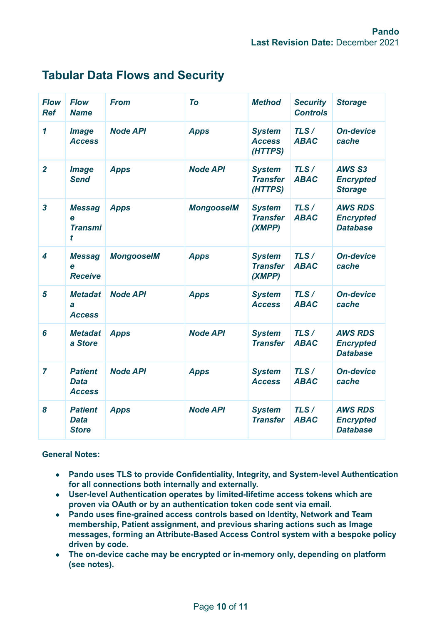| <b>Flow</b><br><b>Ref</b> | <b>Flow</b><br><b>Name</b>                     | <b>From</b>       | To                | <b>Method</b>                               | <b>Security</b><br><b>Controls</b> | <b>Storage</b>                                        |
|---------------------------|------------------------------------------------|-------------------|-------------------|---------------------------------------------|------------------------------------|-------------------------------------------------------|
| $\mathbf{1}$              | <b>Image</b><br><b>Access</b>                  | <b>Node API</b>   | <b>Apps</b>       | <b>System</b><br><b>Access</b><br>(HTTPS)   | TLS/<br><b>ABAC</b>                | <b>On-device</b><br>cache                             |
| $\overline{2}$            | <b>Image</b><br><b>Send</b>                    | <b>Apps</b>       | <b>Node API</b>   | <b>System</b><br><b>Transfer</b><br>(HTTPS) | TLS/<br><b>ABAC</b>                | AWS S3<br><b>Encrypted</b><br><b>Storage</b>          |
| $\overline{\mathbf{3}}$   | <b>Messag</b><br>e<br><b>Transmi</b><br>t      | <b>Apps</b>       | <b>MongooseIM</b> | <b>System</b><br><b>Transfer</b><br>(XMPP)  | TLS/<br><b>ABAC</b>                | <b>AWS RDS</b><br><b>Encrypted</b><br><b>Database</b> |
| 4                         | <b>Messag</b><br>e<br><b>Receive</b>           | <b>MongooseIM</b> | <b>Apps</b>       | <b>System</b><br><b>Transfer</b><br>(XMPP)  | TLS/<br><b>ABAC</b>                | <b>On-device</b><br>cache                             |
| 5                         | <b>Metadat</b><br>a<br><b>Access</b>           | <b>Node API</b>   | <b>Apps</b>       | <b>System</b><br><b>Access</b>              | TLS/<br><b>ABAC</b>                | <b>On-device</b><br>cache                             |
| 6                         | <b>Metadat</b><br>a Store                      | <b>Apps</b>       | <b>Node API</b>   | <b>System</b><br><b>Transfer</b>            | TLS/<br><b>ABAC</b>                | <b>AWS RDS</b><br><b>Encrypted</b><br><b>Database</b> |
| $\overline{7}$            | <b>Patient</b><br><b>Data</b><br><b>Access</b> | <b>Node API</b>   | <b>Apps</b>       | <b>System</b><br><b>Access</b>              | TLS/<br><b>ABAC</b>                | <b>On-device</b><br>cache                             |
| 8                         | <b>Patient</b><br><b>Data</b><br><b>Store</b>  | <b>Apps</b>       | <b>Node API</b>   | <b>System</b><br><b>Transfer</b>            | TLS/<br><b>ABAC</b>                | <b>AWS RDS</b><br><b>Encrypted</b><br><b>Database</b> |

## **Tabular Data Flows and Security**

**General Notes:**

- **● Pando uses TLS to provide Confidentiality, Integrity, and System-level Authentication for all connections both internally and externally.**
- **● User-level Authentication operates by limited-lifetime access tokens which are proven via OAuth or by an authentication token code sent via email.**
- **● Pando uses fine-grained access controls based on Identity, Network and Team membership, Patient assignment, and previous sharing actions such as Image messages, forming an Attribute-Based Access Control system with a bespoke policy driven by code.**
- **● The on-device cache may be encrypted or in-memory only, depending on platform (see notes).**